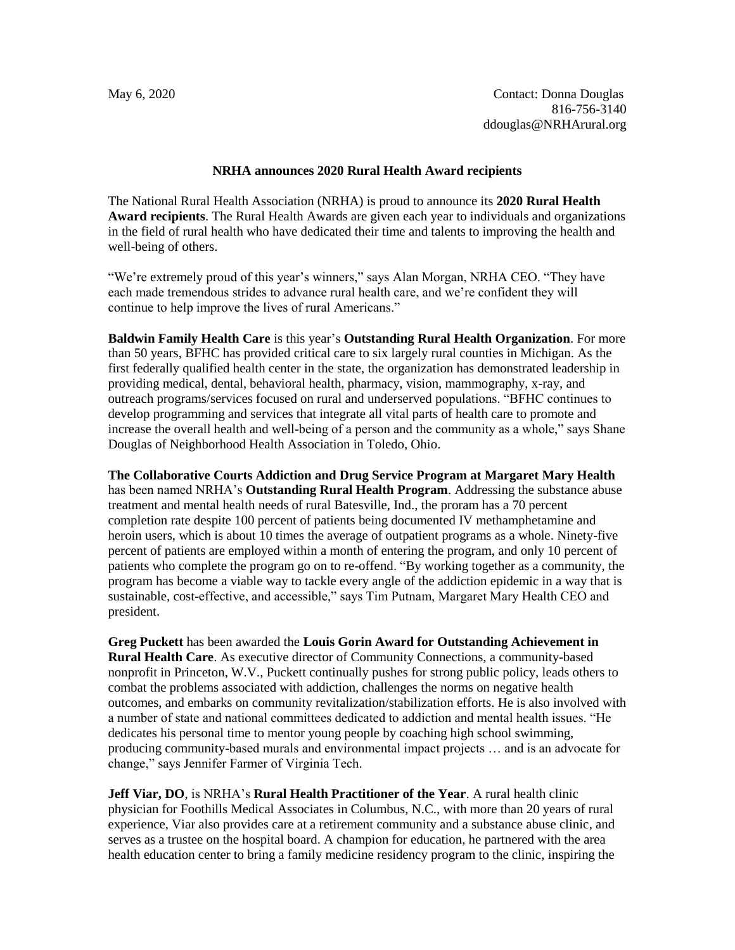## **NRHA announces 2020 Rural Health Award recipients**

The National Rural Health Association (NRHA) is proud to announce its **2020 Rural Health Award recipients**. The Rural Health Awards are given each year to individuals and organizations in the field of rural health who have dedicated their time and talents to improving the health and well-being of others.

"We're extremely proud of this year's winners," says Alan Morgan, NRHA CEO. "They have each made tremendous strides to advance rural health care, and we're confident they will continue to help improve the lives of rural Americans."

**Baldwin Family Health Care** is this year's **Outstanding Rural Health Organization**. For more than 50 years, BFHC has provided critical care to six largely rural counties in Michigan. As the first federally qualified health center in the state, the organization has demonstrated leadership in providing medical, dental, behavioral health, pharmacy, vision, mammography, x-ray, and outreach programs/services focused on rural and underserved populations. "BFHC continues to develop programming and services that integrate all vital parts of health care to promote and increase the overall health and well-being of a person and the community as a whole," says Shane Douglas of Neighborhood Health Association in Toledo, Ohio.

**The Collaborative Courts Addiction and Drug Service Program at Margaret Mary Health** has been named NRHA's **Outstanding Rural Health Program**. Addressing the substance abuse treatment and mental health needs of rural Batesville, Ind., the proram has a 70 percent completion rate despite 100 percent of patients being documented IV methamphetamine and heroin users, which is about 10 times the average of outpatient programs as a whole. Ninety-five percent of patients are employed within a month of entering the program, and only 10 percent of patients who complete the program go on to re-offend. "By working together as a community, the program has become a viable way to tackle every angle of the addiction epidemic in a way that is sustainable, cost-effective, and accessible," says Tim Putnam, Margaret Mary Health CEO and president.

**Greg Puckett** has been awarded the **Louis Gorin Award for Outstanding Achievement in Rural Health Care**. As executive director of Community Connections, a community-based nonprofit in Princeton, W.V., Puckett continually pushes for strong public policy, leads others to combat the problems associated with addiction, challenges the norms on negative health outcomes, and embarks on community revitalization/stabilization efforts. He is also involved with a number of state and national committees dedicated to addiction and mental health issues. "He dedicates his personal time to mentor young people by coaching high school swimming, producing community-based murals and environmental impact projects … and is an advocate for change," says Jennifer Farmer of Virginia Tech.

**Jeff Viar, DO**, is NRHA's **Rural Health Practitioner of the Year**. A rural health clinic physician for Foothills Medical Associates in Columbus, N.C., with more than 20 years of rural experience, Viar also provides care at a retirement community and a substance abuse clinic, and serves as a trustee on the hospital board. A champion for education, he partnered with the area health education center to bring a family medicine residency program to the clinic, inspiring the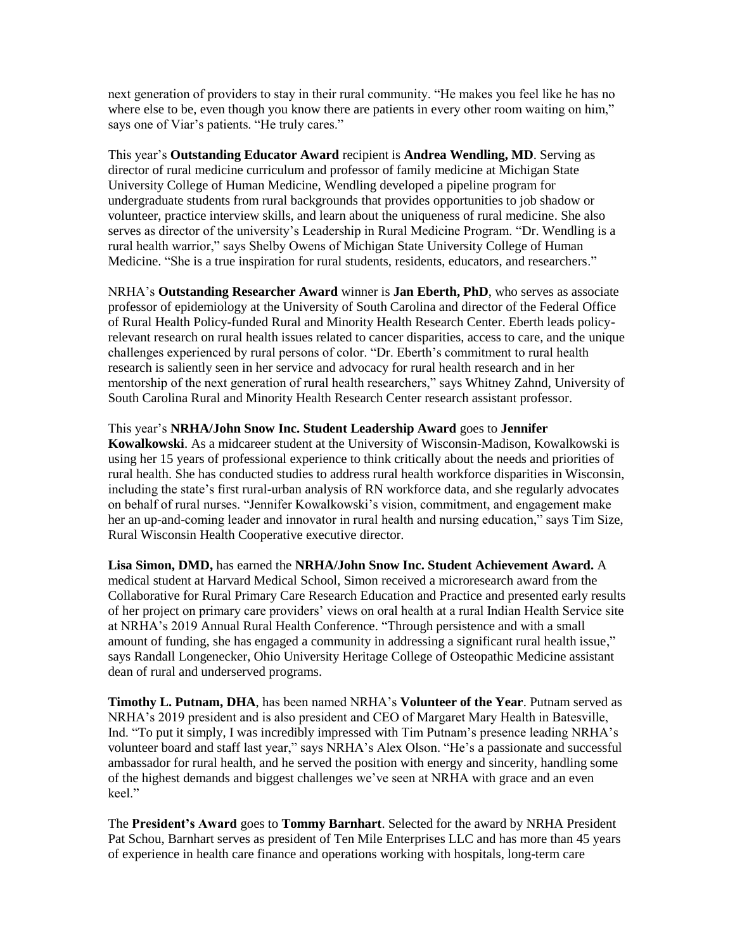next generation of providers to stay in their rural community. "He makes you feel like he has no where else to be, even though you know there are patients in every other room waiting on him," says one of Viar's patients. "He truly cares."

This year's **Outstanding Educator Award** recipient is **Andrea Wendling, MD**. Serving as director of rural medicine curriculum and professor of family medicine at Michigan State University College of Human Medicine, Wendling developed a pipeline program for undergraduate students from rural backgrounds that provides opportunities to job shadow or volunteer, practice interview skills, and learn about the uniqueness of rural medicine. She also serves as director of the university's Leadership in Rural Medicine Program. "Dr. Wendling is a rural health warrior," says Shelby Owens of Michigan State University College of Human Medicine. "She is a true inspiration for rural students, residents, educators, and researchers."

NRHA's **Outstanding Researcher Award** winner is **Jan Eberth, PhD**, who serves as associate professor of epidemiology at the University of South Carolina and director of the Federal Office of Rural Health Policy-funded Rural and Minority Health Research Center. Eberth leads policyrelevant research on rural health issues related to cancer disparities, access to care, and the unique challenges experienced by rural persons of color. "Dr. Eberth's commitment to rural health research is saliently seen in her service and advocacy for rural health research and in her mentorship of the next generation of rural health researchers," says Whitney Zahnd, University of South Carolina Rural and Minority Health Research Center research assistant professor.

This year's **NRHA/John Snow Inc. Student Leadership Award** goes to **Jennifer Kowalkowski**. As a midcareer student at the University of Wisconsin-Madison, Kowalkowski is using her 15 years of professional experience to think critically about the needs and priorities of rural health. She has conducted studies to address rural health workforce disparities in Wisconsin, including the state's first rural-urban analysis of RN workforce data, and she regularly advocates on behalf of rural nurses. "Jennifer Kowalkowski's vision, commitment, and engagement make her an up-and-coming leader and innovator in rural health and nursing education," says Tim Size, Rural Wisconsin Health Cooperative executive director.

**Lisa Simon, DMD,** has earned the **NRHA/John Snow Inc. Student Achievement Award.** A medical student at Harvard Medical School, Simon received a microresearch award from the Collaborative for Rural Primary Care Research Education and Practice and presented early results of her project on primary care providers' views on oral health at a rural Indian Health Service site at NRHA's 2019 Annual Rural Health Conference. "Through persistence and with a small amount of funding, she has engaged a community in addressing a significant rural health issue," says Randall Longenecker, Ohio University Heritage College of Osteopathic Medicine assistant dean of rural and underserved programs.

**Timothy L. Putnam, DHA**, has been named NRHA's **Volunteer of the Year**. Putnam served as NRHA's 2019 president and is also president and CEO of Margaret Mary Health in Batesville, Ind. "To put it simply, I was incredibly impressed with Tim Putnam's presence leading NRHA's volunteer board and staff last year," says NRHA's Alex Olson. "He's a passionate and successful ambassador for rural health, and he served the position with energy and sincerity, handling some of the highest demands and biggest challenges we've seen at NRHA with grace and an even keel."

The **President's Award** goes to **Tommy Barnhart**. Selected for the award by NRHA President Pat Schou, Barnhart serves as president of Ten Mile Enterprises LLC and has more than 45 years of experience in health care finance and operations working with hospitals, long-term care